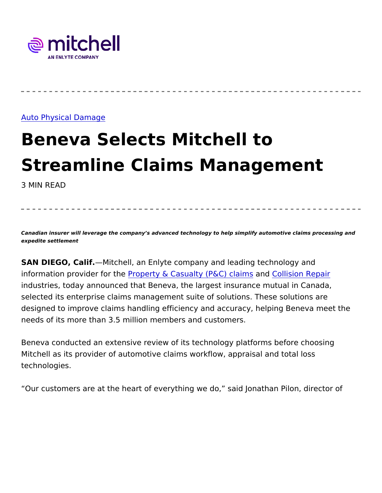## [Auto Physical D](https://www.mitchell.com/insights/auto-physical-damage-0)amage

## Beneva Selects Mitchell to Streamline Claims Managemen 3 MIN READ

Canadian insurer will leverage the company s advanced technology to help simplify automotive claim expedite settlement

SAN DIEGO, CaMitchell, an Enlyte company and leading technology information providerPfroorpthey & Casualty (P&G) of balims ion Repair industries, today announced that Beneva, the largest insurance mut selected its enterprise claims management suite of solutions. Thes designed to improve claims handling efficiency and accuracy, helpi needs of its more than 3.5 million members and customers.

Beneva conducted an extensive review of its technology platforms b Mitchell as its provider of automotive claims workflow, appraisal ar technologies.

Our customers are at the heart of everything we do, said Jonathan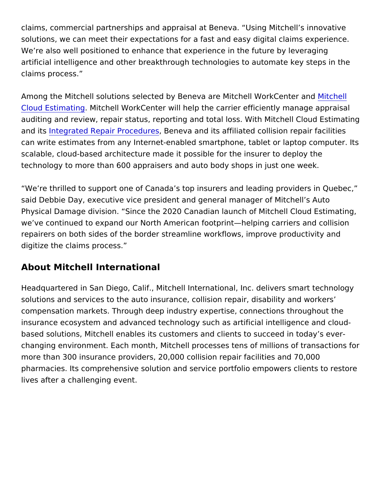claims, commercial partnerships and appraisal at Beneva. Using M solutions, we can meet their expectations for a fast and easy digita We re also well positioned to enhance that experience in the future artificial intelligence and other breakthrough technologies to autom claims process.

Among the M[itchel](https://www.mitchell.com/solutions/auto-physical-damage/estimating/cloud)l solutions selected by Beneva are MilMichell E Mork [Cloud Estim](https://www.mitchell.com/solutions/auto-physical-damage/estimating/cloud)ation is a WorkCenter will help the carrier efficiently management auditing and review, repair status, reporting and total loss. With M and its tegrated Repair Proceduce wa and its affiliated collision repai can write estimates from any Internet-enabled smartphone, tablet o scalable, cloud-based architecture made it possible for the insurer technology to more than 600 appraisers and auto body shops in jus

We re thrilled to support one of Canada s top insurers and leading said Debbie Day, executive vice president and general manager of Physical Damage division. Since the 2020 Canadian launch of Mitc we ve continued to expand our North American footprint helping car repairers on both sides of the border streamline workflows, improve digitize the claims process.

About Mitchell International

Headquartered in San Diego, Calif., Mitchell International, Inc. del solutions and services to the auto insurance, collision repair, disal compensation markets. Through deep industry expertise, connection insurance ecosystem and advanced technology such as artificial int based solutions, Mitchell enables its customers and clients to succ changing environment. Each month, Mitchell processes tens of milli more than 300 insurance providers, 20,000 collision repair facilitie pharmacies. Its comprehensive solution and service portfolio empoy lives after a challenging event.